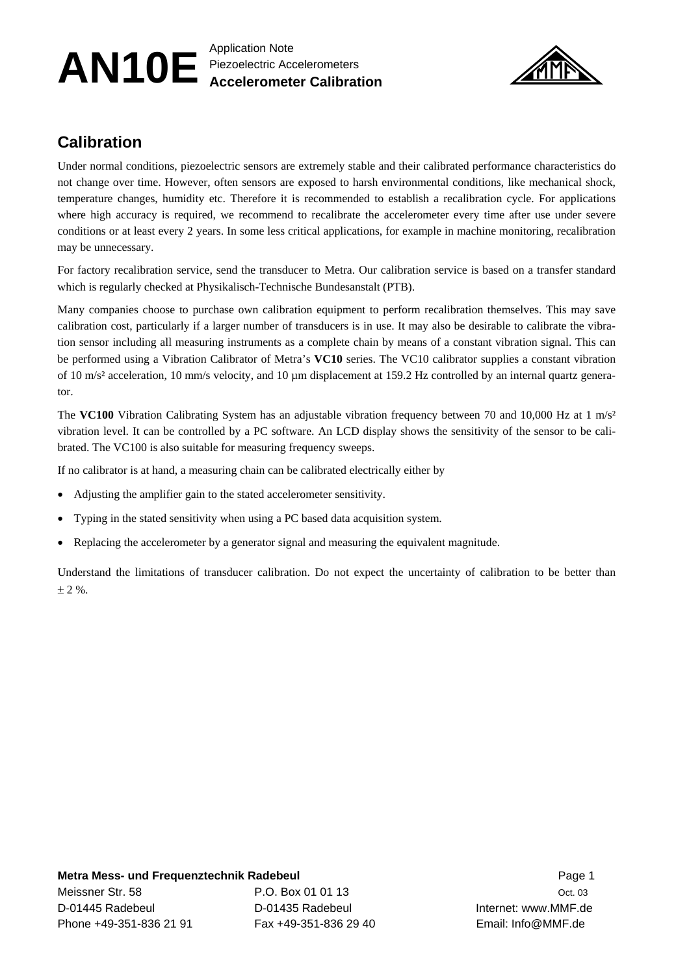## AN10E Application Note Piezoelectric Accelerometers **Accelerometer Calibration**



## **Calibration**

Under normal conditions, piezoelectric sensors are extremely stable and their calibrated performance characteristics do not change over time. However, often sensors are exposed to harsh environmental conditions, like mechanical shock, temperature changes, humidity etc. Therefore it is recommended to establish a recalibration cycle. For applications where high accuracy is required, we recommend to recalibrate the accelerometer every time after use under severe conditions or at least every 2 years. In some less critical applications, for example in machine monitoring, recalibration may be unnecessary.

For factory recalibration service, send the transducer to Metra. Our calibration service is based on a transfer standard which is regularly checked at Physikalisch-Technische Bundesanstalt (PTB).

Many companies choose to purchase own calibration equipment to perform recalibration themselves. This may save calibration cost, particularly if a larger number of transducers is in use. It may also be desirable to calibrate the vibration sensor including all measuring instruments as a complete chain by means of a constant vibration signal. This can be performed using a Vibration Calibrator of Metra's **VC10** series. The VC10 calibrator supplies a constant vibration of 10 m/s² acceleration, 10 mm/s velocity, and 10 µm displacement at 159.2 Hz controlled by an internal quartz generator.

The **VC100** Vibration Calibrating System has an adjustable vibration frequency between 70 and 10,000 Hz at 1 m/s<sup>2</sup> vibration level. It can be controlled by a PC software. An LCD display shows the sensitivity of the sensor to be calibrated. The VC100 is also suitable for measuring frequency sweeps.

If no calibrator is at hand, a measuring chain can be calibrated electrically either by

- Adjusting the amplifier gain to the stated accelerometer sensitivity.
- Typing in the stated sensitivity when using a PC based data acquisition system.
- Replacing the accelerometer by a generator signal and measuring the equivalent magnitude.

Understand the limitations of transducer calibration. Do not expect the uncertainty of calibration to be better than  $± 2 %$ .